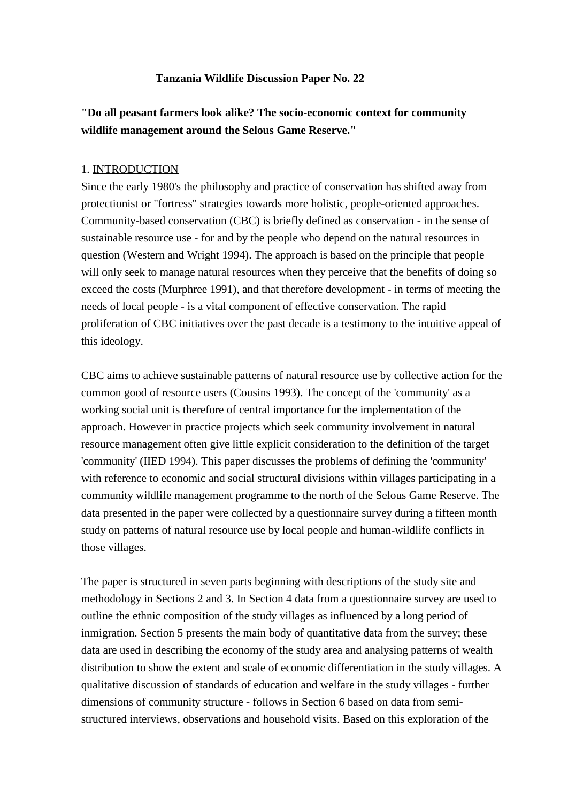# **Tanzania Wildlife Discussion Paper No. 22**

# **"Do all peasant farmers look alike? The socio-economic context for community wildlife management around the Selous Game Reserve."**

#### 1. INTRODUCTION

Since the early 1980's the philosophy and practice of conservation has shifted away from protectionist or "fortress" strategies towards more holistic, people-oriented approaches. Community-based conservation (CBC) is briefly defined as conservation - in the sense of sustainable resource use - for and by the people who depend on the natural resources in question (Western and Wright 1994). The approach is based on the principle that people will only seek to manage natural resources when they perceive that the benefits of doing so exceed the costs (Murphree 1991), and that therefore development - in terms of meeting the needs of local people - is a vital component of effective conservation. The rapid proliferation of CBC initiatives over the past decade is a testimony to the intuitive appeal of this ideology.

CBC aims to achieve sustainable patterns of natural resource use by collective action for the common good of resource users (Cousins 1993). The concept of the 'community' as a working social unit is therefore of central importance for the implementation of the approach. However in practice projects which seek community involvement in natural resource management often give little explicit consideration to the definition of the target 'community' (IIED 1994). This paper discusses the problems of defining the 'community' with reference to economic and social structural divisions within villages participating in a community wildlife management programme to the north of the Selous Game Reserve. The data presented in the paper were collected by a questionnaire survey during a fifteen month study on patterns of natural resource use by local people and human-wildlife conflicts in those villages.

The paper is structured in seven parts beginning with descriptions of the study site and methodology in Sections 2 and 3. In Section 4 data from a questionnaire survey are used to outline the ethnic composition of the study villages as influenced by a long period of inmigration. Section 5 presents the main body of quantitative data from the survey; these data are used in describing the economy of the study area and analysing patterns of wealth distribution to show the extent and scale of economic differentiation in the study villages. A qualitative discussion of standards of education and welfare in the study villages - further dimensions of community structure - follows in Section 6 based on data from semistructured interviews, observations and household visits. Based on this exploration of the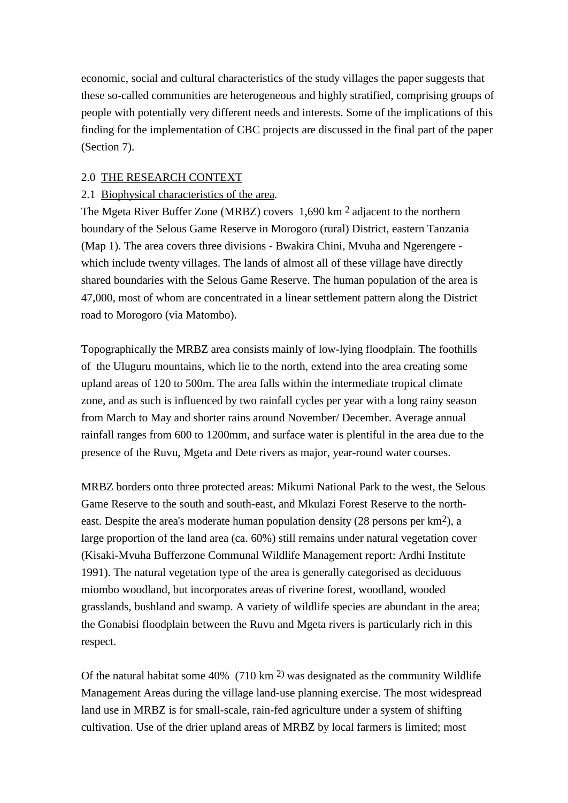economic, social and cultural characteristics of the study villages the paper suggests that these so-called communities are heterogeneous and highly stratified, comprising groups of people with potentially very different needs and interests. Some of the implications of this finding for the implementation of CBC projects are discussed in the final part of the paper (Section 7).

# 2.0 THE RESEARCH CONTEXT

# 2.1 Biophysical characteristics of the area*.*

The Mgeta River Buffer Zone (MRBZ) covers 1,690 km 2 adjacent to the northern boundary of the Selous Game Reserve in Morogoro (rural) District, eastern Tanzania (Map 1). The area covers three divisions - Bwakira Chini, Mvuha and Ngerengere which include twenty villages. The lands of almost all of these village have directly shared boundaries with the Selous Game Reserve. The human population of the area is 47,000, most of whom are concentrated in a linear settlement pattern along the District road to Morogoro (via Matombo).

Topographically the MRBZ area consists mainly of low-lying floodplain. The foothills of the Uluguru mountains, which lie to the north, extend into the area creating some upland areas of 120 to 500m. The area falls within the intermediate tropical climate zone, and as such is influenced by two rainfall cycles per year with a long rainy season from March to May and shorter rains around November/ December. Average annual rainfall ranges from 600 to 1200mm, and surface water is plentiful in the area due to the presence of the Ruvu, Mgeta and Dete rivers as major, year-round water courses.

MRBZ borders onto three protected areas: Mikumi National Park to the west, the Selous Game Reserve to the south and south-east, and Mkulazi Forest Reserve to the northeast. Despite the area's moderate human population density (28 persons per km2), a large proportion of the land area (ca. 60%) still remains under natural vegetation cover (Kisaki-Mvuha Bufferzone Communal Wildlife Management report: Ardhi Institute 1991). The natural vegetation type of the area is generally categorised as deciduous miombo woodland, but incorporates areas of riverine forest, woodland, wooded grasslands, bushland and swamp. A variety of wildlife species are abundant in the area; the Gonabisi floodplain between the Ruvu and Mgeta rivers is particularly rich in this respect.

Of the natural habitat some  $40\%$  (710 km <sup>2)</sup> was designated as the community Wildlife Management Areas during the village land-use planning exercise. The most widespread land use in MRBZ is for small-scale, rain-fed agriculture under a system of shifting cultivation. Use of the drier upland areas of MRBZ by local farmers is limited; most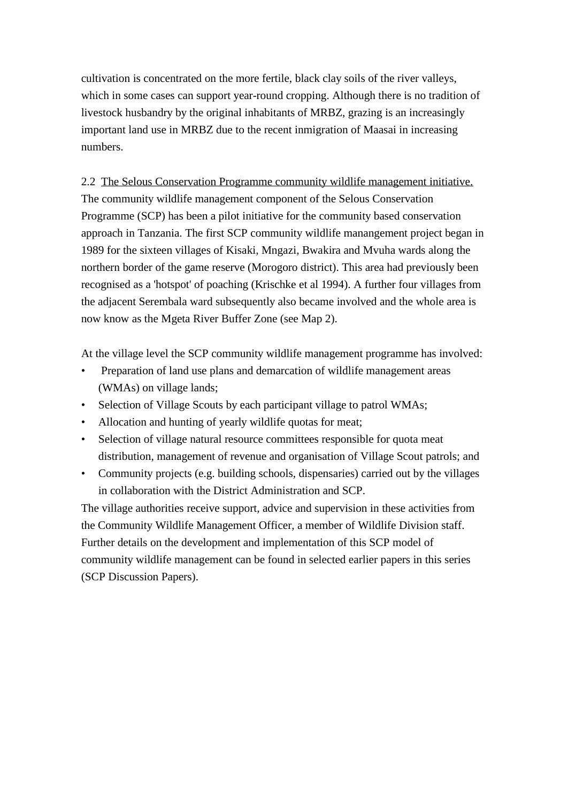cultivation is concentrated on the more fertile, black clay soils of the river valleys, which in some cases can support year-round cropping. Although there is no tradition of livestock husbandry by the original inhabitants of MRBZ, grazing is an increasingly important land use in MRBZ due to the recent inmigration of Maasai in increasing numbers.

2.2 The Selous Conservation Programme community wildlife management initiative. The community wildlife management component of the Selous Conservation Programme (SCP) has been a pilot initiative for the community based conservation approach in Tanzania. The first SCP community wildlife manangement project began in 1989 for the sixteen villages of Kisaki, Mngazi, Bwakira and Mvuha wards along the northern border of the game reserve (Morogoro district). This area had previously been recognised as a 'hotspot' of poaching (Krischke et al 1994). A further four villages from the adjacent Serembala ward subsequently also became involved and the whole area is now know as the Mgeta River Buffer Zone (see Map 2).

At the village level the SCP community wildlife management programme has involved:

- Preparation of land use plans and demarcation of wildlife management areas (WMAs) on village lands;
- Selection of Village Scouts by each participant village to patrol WMAs;
- Allocation and hunting of yearly wildlife quotas for meat;
- Selection of village natural resource committees responsible for quota meat distribution, management of revenue and organisation of Village Scout patrols; and
- Community projects (e.g. building schools, dispensaries) carried out by the villages in collaboration with the District Administration and SCP.

The village authorities receive support, advice and supervision in these activities from the Community Wildlife Management Officer, a member of Wildlife Division staff. Further details on the development and implementation of this SCP model of community wildlife management can be found in selected earlier papers in this series (SCP Discussion Papers).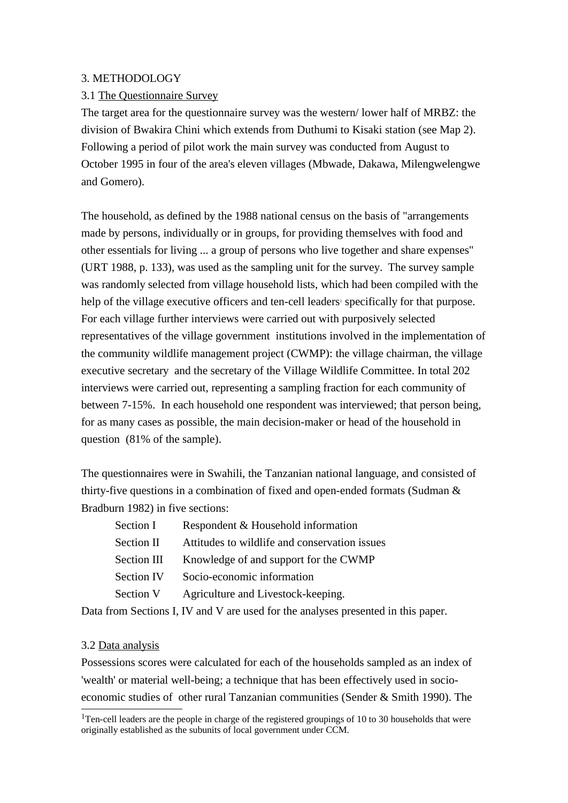# 3. METHODOLOGY

# 3.1 The Questionnaire Survey

The target area for the questionnaire survey was the western/ lower half of MRBZ: the division of Bwakira Chini which extends from Duthumi to Kisaki station (see Map 2). Following a period of pilot work the main survey was conducted from August to October 1995 in four of the area's eleven villages (Mbwade, Dakawa, Milengwelengwe and Gomero).

The household, as defined by the 1988 national census on the basis of "arrangements made by persons, individually or in groups, for providing themselves with food and other essentials for living ... a group of persons who live together and share expenses" (URT 1988, p. 133), was used as the sampling unit for the survey. The survey sample was randomly selected from village household lists, which had been compiled with the help of the village executive officers and ten-cell leaders' specifically for that purpose. For each village further interviews were carried out with purposively selected representatives of the village government institutions involved in the implementation of the community wildlife management project (CWMP): the village chairman, the village executive secretary and the secretary of the Village Wildlife Committee. In total 202 interviews were carried out, representing a sampling fraction for each community of between 7-15%. In each household one respondent was interviewed; that person being, for as many cases as possible, the main decision-maker or head of the household in question (81% of the sample).

The questionnaires were in Swahili, the Tanzanian national language, and consisted of thirty-five questions in a combination of fixed and open-ended formats (Sudman & Bradburn 1982) in five sections:

| Section I         | Respondent & Household information            |
|-------------------|-----------------------------------------------|
| Section II        | Attitudes to wildlife and conservation issues |
| Section III       | Knowledge of and support for the CWMP         |
| <b>Section IV</b> | Socio-economic information                    |
| Section V         | Agriculture and Livestock-keeping.            |
|                   |                                               |

Data from Sections I, IV and V are used for the analyses presented in this paper.

#### 3.2 Data analysis

Possessions scores were calculated for each of the households sampled as an index of 'wealth' or material well-being; a technique that has been effectively used in socioeconomic studies of other rural Tanzanian communities (Sender & Smith 1990). The

<sup>&</sup>lt;sup>1</sup>Ten-cell leaders are the people in charge of the registered groupings of 10 to 30 households that were originally established as the subunits of local government under CCM.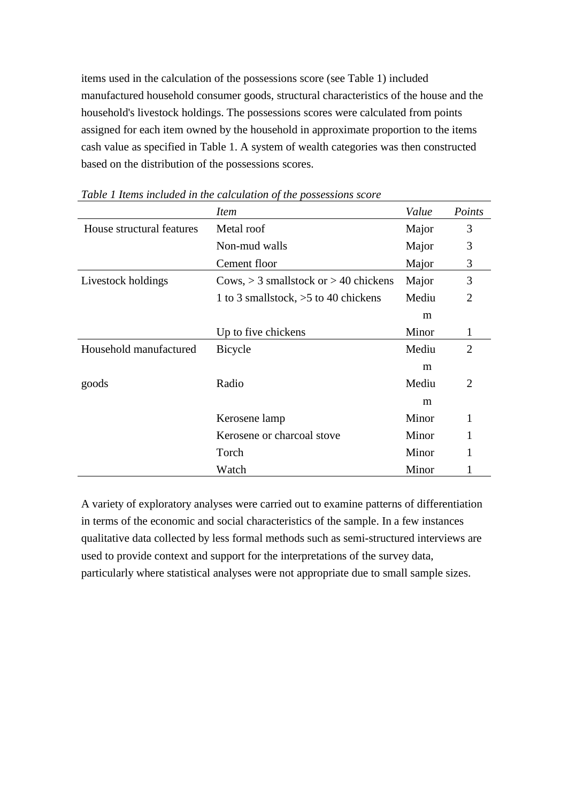items used in the calculation of the possessions score (see Table 1) included manufactured household consumer goods, structural characteristics of the house and the household's livestock holdings. The possessions scores were calculated from points assigned for each item owned by the household in approximate proportion to the items cash value as specified in Table 1. A system of wealth categories was then constructed based on the distribution of the possessions scores.

|                           | <i>Item</i>                               | Value | Points         |
|---------------------------|-------------------------------------------|-------|----------------|
| House structural features | Metal roof                                | Major | 3              |
|                           | Non-mud walls                             | Major | 3              |
|                           | Cement floor                              | Major | 3              |
| Livestock holdings        | Cows, $>$ 3 smallstock or $>$ 40 chickens | Major | 3              |
|                           | 1 to 3 smallstock, $>5$ to 40 chickens    | Mediu | $\overline{2}$ |
|                           |                                           | m     |                |
|                           | Up to five chickens                       | Minor | 1              |
| Household manufactured    | <b>Bicycle</b>                            | Mediu | $\overline{2}$ |
|                           |                                           | m     |                |
| goods                     | Radio                                     | Mediu | $\overline{2}$ |
|                           |                                           | m     |                |
|                           | Kerosene lamp                             | Minor |                |
|                           | Kerosene or charcoal stove                | Minor | 1              |
|                           | Torch                                     | Minor | 1              |
|                           | Watch                                     | Minor |                |

*Table 1 Items included in the calculation of the possessions score*

A variety of exploratory analyses were carried out to examine patterns of differentiation in terms of the economic and social characteristics of the sample. In a few instances qualitative data collected by less formal methods such as semi-structured interviews are used to provide context and support for the interpretations of the survey data, particularly where statistical analyses were not appropriate due to small sample sizes.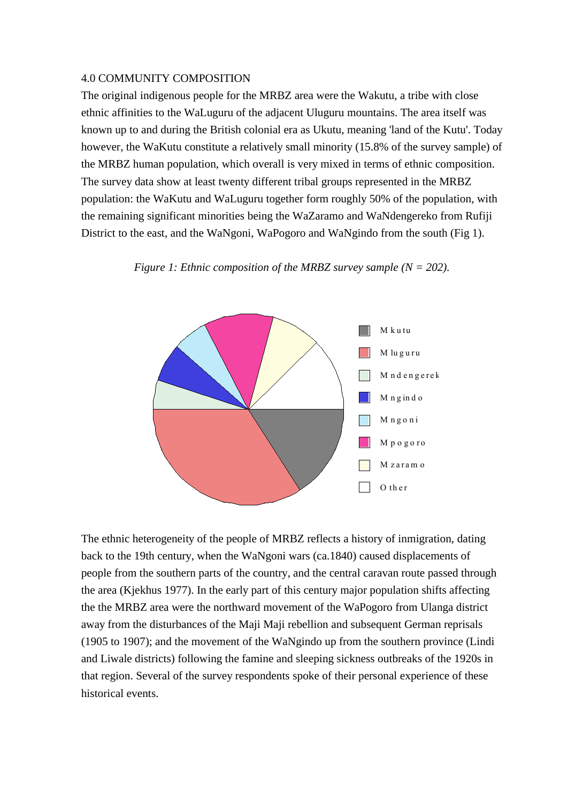#### 4.0 COMMUNITY COMPOSITION

The original indigenous people for the MRBZ area were the Wakutu, a tribe with close ethnic affinities to the WaLuguru of the adjacent Uluguru mountains. The area itself was known up to and during the British colonial era as Ukutu, meaning 'land of the Kutu'. Today however, the WaKutu constitute a relatively small minority (15.8% of the survey sample) of the MRBZ human population, which overall is very mixed in terms of ethnic composition. The survey data show at least twenty different tribal groups represented in the MRBZ population: the WaKutu and WaLuguru together form roughly 50% of the population, with the remaining significant minorities being the WaZaramo and WaNdengereko from Rufiji District to the east, and the WaNgoni, WaPogoro and WaNgindo from the south (Fig 1).



*Figure 1: Ethnic composition of the MRBZ survey sample (N = 202).*

The ethnic heterogeneity of the people of MRBZ reflects a history of inmigration, dating back to the 19th century, when the WaNgoni wars (ca.1840) caused displacements of people from the southern parts of the country, and the central caravan route passed through the area (Kjekhus 1977). In the early part of this century major population shifts affecting the the MRBZ area were the northward movement of the WaPogoro from Ulanga district away from the disturbances of the Maji Maji rebellion and subsequent German reprisals (1905 to 1907); and the movement of the WaNgindo up from the southern province (Lindi and Liwale districts) following the famine and sleeping sickness outbreaks of the 1920s in that region. Several of the survey respondents spoke of their personal experience of these historical events.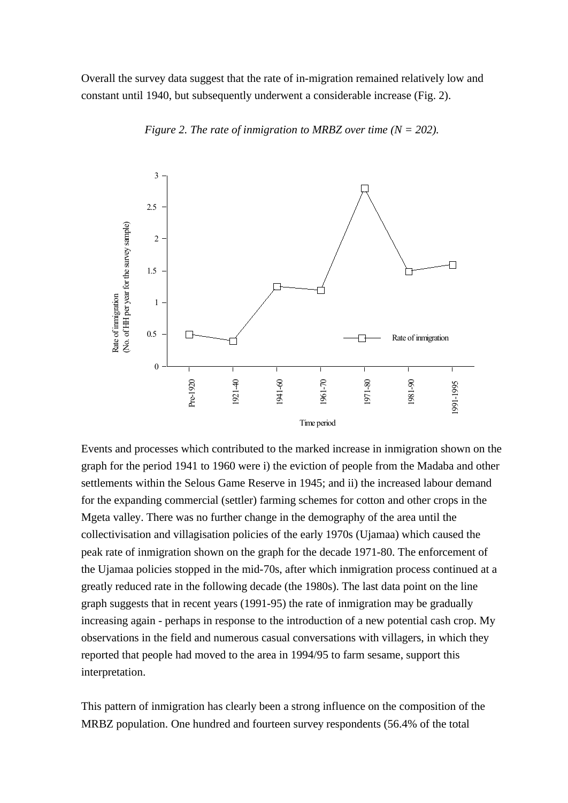Overall the survey data suggest that the rate of in-migration remained relatively low and constant until 1940, but subsequently underwent a considerable increase (Fig. 2).



*Figure 2. The rate of inmigration to MRBZ over time (N = 202).*

Events and processes which contributed to the marked increase in inmigration shown on the graph for the period 1941 to 1960 were i) the eviction of people from the Madaba and other settlements within the Selous Game Reserve in 1945; and ii) the increased labour demand for the expanding commercial (settler) farming schemes for cotton and other crops in the Mgeta valley. There was no further change in the demography of the area until the collectivisation and villagisation policies of the early 1970s (Ujamaa) which caused the peak rate of inmigration shown on the graph for the decade 1971-80. The enforcement of the Ujamaa policies stopped in the mid-70s, after which inmigration process continued at a greatly reduced rate in the following decade (the 1980s). The last data point on the line graph suggests that in recent years (1991-95) the rate of inmigration may be gradually increasing again - perhaps in response to the introduction of a new potential cash crop. My observations in the field and numerous casual conversations with villagers, in which they reported that people had moved to the area in 1994/95 to farm sesame, support this interpretation.

This pattern of inmigration has clearly been a strong influence on the composition of the MRBZ population. One hundred and fourteen survey respondents (56.4% of the total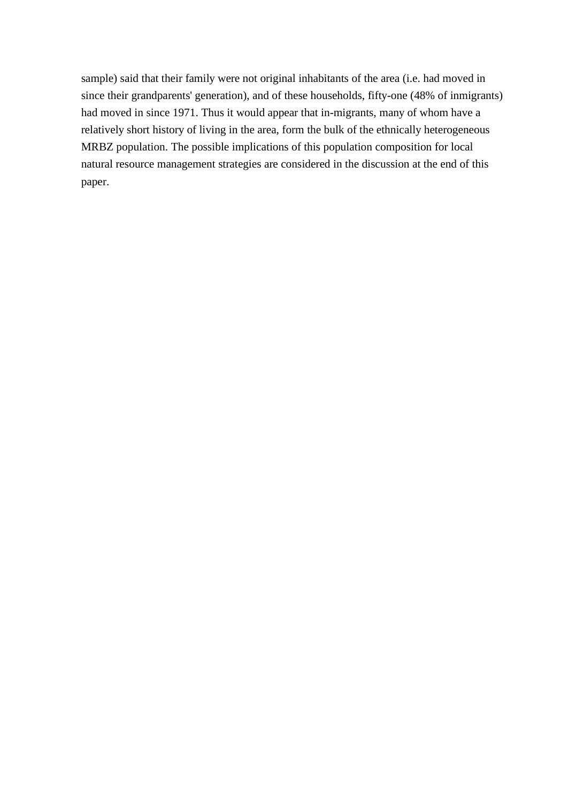sample) said that their family were not original inhabitants of the area (i.e. had moved in since their grandparents' generation), and of these households, fifty-one (48% of inmigrants) had moved in since 1971. Thus it would appear that in-migrants, many of whom have a relatively short history of living in the area, form the bulk of the ethnically heterogeneous MRBZ population. The possible implications of this population composition for local natural resource management strategies are considered in the discussion at the end of this paper.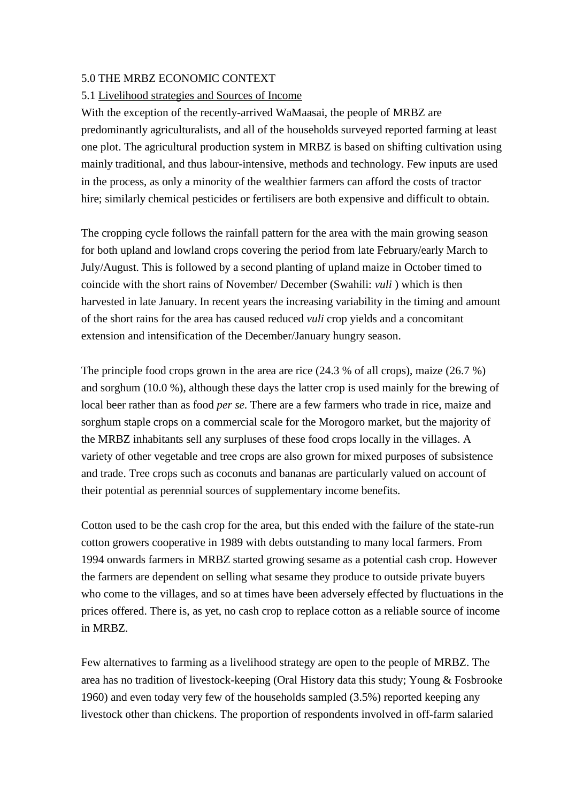# 5.0 THE MRBZ ECONOMIC CONTEXT

# 5.1 Livelihood strategies and Sources of Income

With the exception of the recently-arrived WaMaasai, the people of MRBZ are predominantly agriculturalists, and all of the households surveyed reported farming at least one plot. The agricultural production system in MRBZ is based on shifting cultivation using mainly traditional, and thus labour-intensive, methods and technology. Few inputs are used in the process, as only a minority of the wealthier farmers can afford the costs of tractor hire; similarly chemical pesticides or fertilisers are both expensive and difficult to obtain.

The cropping cycle follows the rainfall pattern for the area with the main growing season for both upland and lowland crops covering the period from late February/early March to July/August. This is followed by a second planting of upland maize in October timed to coincide with the short rains of November/ December (Swahili: *vuli* ) which is then harvested in late January. In recent years the increasing variability in the timing and amount of the short rains for the area has caused reduced *vuli* crop yields and a concomitant extension and intensification of the December/January hungry season.

The principle food crops grown in the area are rice (24.3 % of all crops), maize (26.7 %) and sorghum (10.0 %), although these days the latter crop is used mainly for the brewing of local beer rather than as food *per se*. There are a few farmers who trade in rice, maize and sorghum staple crops on a commercial scale for the Morogoro market, but the majority of the MRBZ inhabitants sell any surpluses of these food crops locally in the villages. A variety of other vegetable and tree crops are also grown for mixed purposes of subsistence and trade. Tree crops such as coconuts and bananas are particularly valued on account of their potential as perennial sources of supplementary income benefits.

Cotton used to be the cash crop for the area, but this ended with the failure of the state-run cotton growers cooperative in 1989 with debts outstanding to many local farmers. From 1994 onwards farmers in MRBZ started growing sesame as a potential cash crop. However the farmers are dependent on selling what sesame they produce to outside private buyers who come to the villages, and so at times have been adversely effected by fluctuations in the prices offered. There is, as yet, no cash crop to replace cotton as a reliable source of income in MRBZ.

Few alternatives to farming as a livelihood strategy are open to the people of MRBZ. The area has no tradition of livestock-keeping (Oral History data this study; Young & Fosbrooke 1960) and even today very few of the households sampled (3.5%) reported keeping any livestock other than chickens. The proportion of respondents involved in off-farm salaried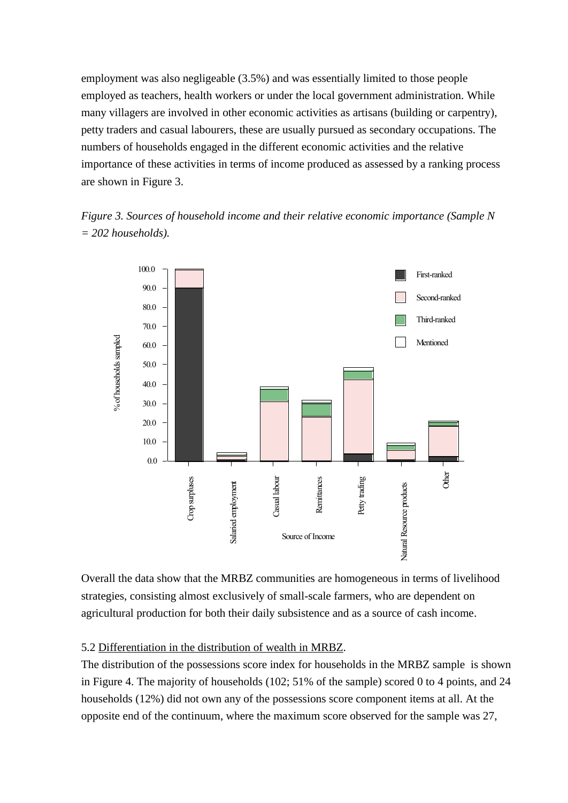employment was also negligeable (3.5%) and was essentially limited to those people employed as teachers, health workers or under the local government administration. While many villagers are involved in other economic activities as artisans (building or carpentry), petty traders and casual labourers, these are usually pursued as secondary occupations. The numbers of households engaged in the different economic activities and the relative importance of these activities in terms of income produced as assessed by a ranking process are shown in Figure 3.

*Figure 3. Sources of household income and their relative economic importance (Sample N = 202 households).*



Overall the data show that the MRBZ communities are homogeneous in terms of livelihood strategies, consisting almost exclusively of small-scale farmers, who are dependent on agricultural production for both their daily subsistence and as a source of cash income.

#### 5.2 Differentiation in the distribution of wealth in MRBZ.

The distribution of the possessions score index for households in the MRBZ sample is shown in Figure 4. The majority of households (102; 51% of the sample) scored 0 to 4 points, and 24 households (12%) did not own any of the possessions score component items at all. At the opposite end of the continuum, where the maximum score observed for the sample was 27,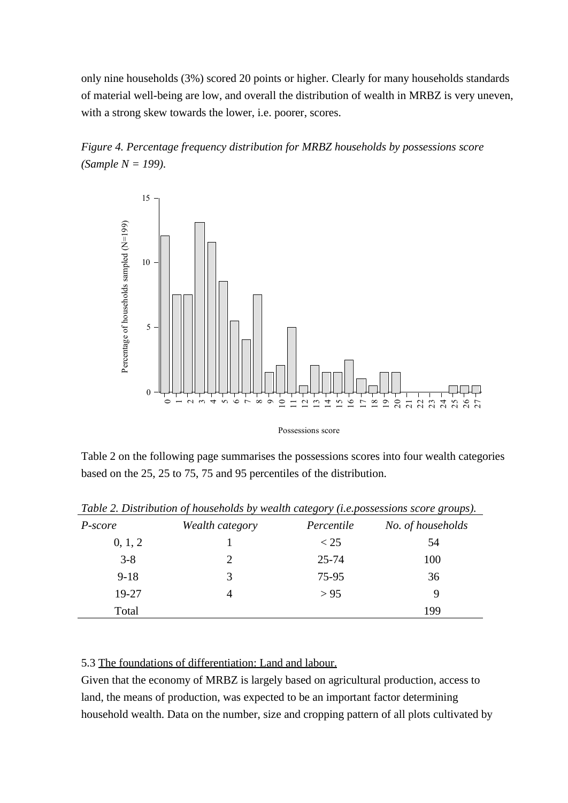only nine households (3%) scored 20 points or higher. Clearly for many households standards of material well-being are low, and overall the distribution of wealth in MRBZ is very uneven, with a strong skew towards the lower, i.e. poorer, scores.





Table 2 on the following page summarises the possessions scores into four wealth categories based on the 25, 25 to 75, 75 and 95 percentiles of the distribution.

|          | $\cdot$         | $\cdot$    |                   |
|----------|-----------------|------------|-------------------|
| P-score  | Wealth category | Percentile | No. of households |
| 0, 1, 2  |                 | $<$ 25     | 54                |
| $3 - 8$  | 2               | $25 - 74$  | 100               |
| $9 - 18$ | 3               | 75-95      | 36                |
| 19-27    | 4               | > 95       | 9                 |
| Total    |                 |            | 199               |

*Table 2. Distribution of households by wealth category (i.e.possessions score groups).*

#### 5.3 The foundations of differentiation: Land and labour.

Given that the economy of MRBZ is largely based on agricultural production, access to land, the means of production, was expected to be an important factor determining household wealth. Data on the number, size and cropping pattern of all plots cultivated by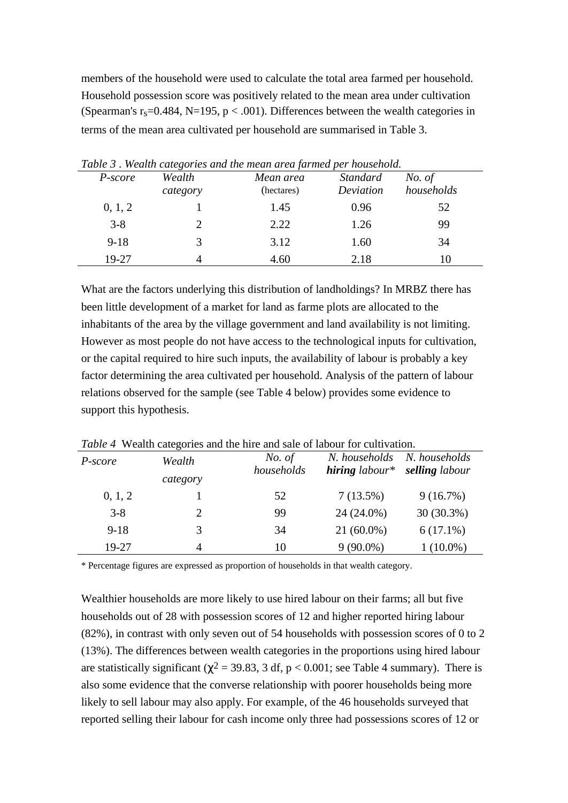members of the household were used to calculate the total area farmed per household. Household possession score was positively related to the mean area under cultivation (Spearman's  $r_s = 0.484$ , N=195, p < .001). Differences between the wealth categories in terms of the mean area cultivated per household are summarised in Table 3.

| P-score  | Wealth<br>category | Table 5, Wealth categories and the mean area farmed per household.<br>Mean area<br>(hectares) | <b>Standard</b><br>Deviation | No. of<br>households |
|----------|--------------------|-----------------------------------------------------------------------------------------------|------------------------------|----------------------|
| 0, 1, 2  |                    | 1.45                                                                                          | 0.96                         | 52                   |
| $3 - 8$  |                    | 2.22                                                                                          | 1.26                         | 99                   |
| $9 - 18$ | 3                  | 3.12                                                                                          | 1.60                         | 34                   |
| 19-27    |                    | 4.60                                                                                          | 2.18                         | 10                   |

*Table 3* . *Wealth categories and the mean area farmed per household.*

What are the factors underlying this distribution of landholdings? In MRBZ there has been little development of a market for land as farme plots are allocated to the inhabitants of the area by the village government and land availability is not limiting. However as most people do not have access to the technological inputs for cultivation, or the capital required to hire such inputs, the availability of labour is probably a key factor determining the area cultivated per household. Analysis of the pattern of labour relations observed for the sample (see Table 4 below) provides some evidence to support this hypothesis.

| <i>Tuble 4</i> Wealth categories and the fille and sale of fabour for cultivation. |          |                      |                                   |                                 |
|------------------------------------------------------------------------------------|----------|----------------------|-----------------------------------|---------------------------------|
| P-score                                                                            | Wealth   | No. of<br>households | N. households<br>$hiring$ labour* | N. households<br>selling labour |
|                                                                                    | category |                      |                                   |                                 |
| 0, 1, 2                                                                            |          | 52                   | 7(13.5%)                          | 9(16.7%)                        |
| $3 - 8$                                                                            | 2        | 99                   | 24 (24.0%)                        | $30(30.3\%)$                    |
| $9 - 18$                                                                           | 3        | 34                   | $21(60.0\%)$                      | $6(17.1\%)$                     |
| 19-27                                                                              | 4        | 10                   | $9(90.0\%)$                       | $1(10.0\%)$                     |
|                                                                                    |          |                      |                                   |                                 |

*Table 4* Wealth categories and the hire and sale of labour for cultivation.

\* Percentage figures are expressed as proportion of households in that wealth category.

Wealthier households are more likely to use hired labour on their farms; all but five households out of 28 with possession scores of 12 and higher reported hiring labour (82%), in contrast with only seven out of 54 households with possession scores of 0 to 2 (13%). The differences between wealth categories in the proportions using hired labour are statistically significant ( $\chi^2$  = 39.83, 3 df, p < 0.001; see Table 4 summary). There is also some evidence that the converse relationship with poorer households being more likely to sell labour may also apply. For example, of the 46 households surveyed that reported selling their labour for cash income only three had possessions scores of 12 or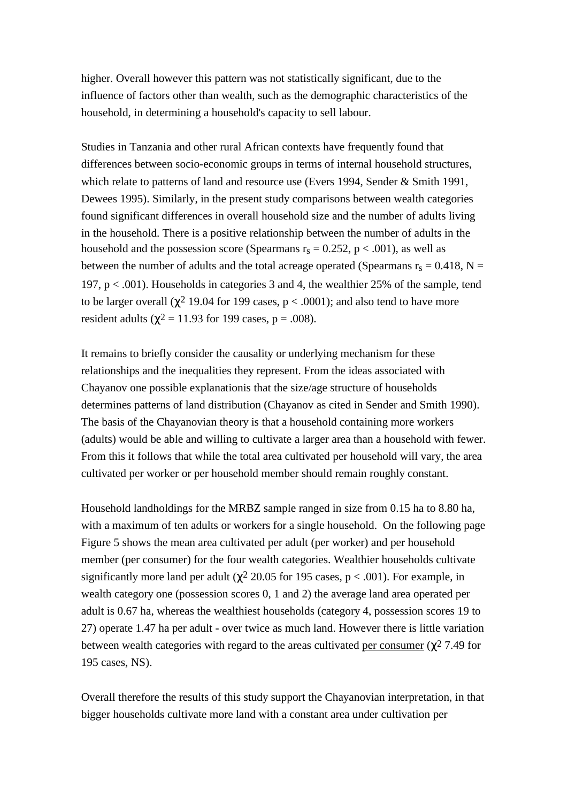higher. Overall however this pattern was not statistically significant, due to the influence of factors other than wealth, such as the demographic characteristics of the household, in determining a household's capacity to sell labour.

Studies in Tanzania and other rural African contexts have frequently found that differences between socio-economic groups in terms of internal household structures, which relate to patterns of land and resource use (Evers 1994, Sender & Smith 1991, Dewees 1995). Similarly, in the present study comparisons between wealth categories found significant differences in overall household size and the number of adults living in the household. There is a positive relationship between the number of adults in the household and the possession score (Spearmans  $r_s = 0.252$ ,  $p < .001$ ), as well as between the number of adults and the total acreage operated (Spearmans  $r_s = 0.418$ , N = 197,  $p < .001$ ). Households in categories 3 and 4, the wealthier 25% of the sample, tend to be larger overall ( $\chi^2$  19.04 for 199 cases,  $p < .0001$ ); and also tend to have more resident adults ( $\chi^2$  = 11.93 for 199 cases, p = .008).

It remains to briefly consider the causality or underlying mechanism for these relationships and the inequalities they represent. From the ideas associated with Chayanov one possible explanationis that the size/age structure of households determines patterns of land distribution (Chayanov as cited in Sender and Smith 1990). The basis of the Chayanovian theory is that a household containing more workers (adults) would be able and willing to cultivate a larger area than a household with fewer. From this it follows that while the total area cultivated per household will vary, the area cultivated per worker or per household member should remain roughly constant.

Household landholdings for the MRBZ sample ranged in size from 0.15 ha to 8.80 ha, with a maximum of ten adults or workers for a single household. On the following page Figure 5 shows the mean area cultivated per adult (per worker) and per household member (per consumer) for the four wealth categories. Wealthier households cultivate significantly more land per adult ( $\chi^2$  20.05 for 195 cases, p < .001). For example, in wealth category one (possession scores 0, 1 and 2) the average land area operated per adult is 0.67 ha, whereas the wealthiest households (category 4, possession scores 19 to 27) operate 1.47 ha per adult - over twice as much land. However there is little variation between wealth categories with regard to the areas cultivated per consumer ( $\gamma^2$  7.49 for 195 cases, NS).

Overall therefore the results of this study support the Chayanovian interpretation, in that bigger households cultivate more land with a constant area under cultivation per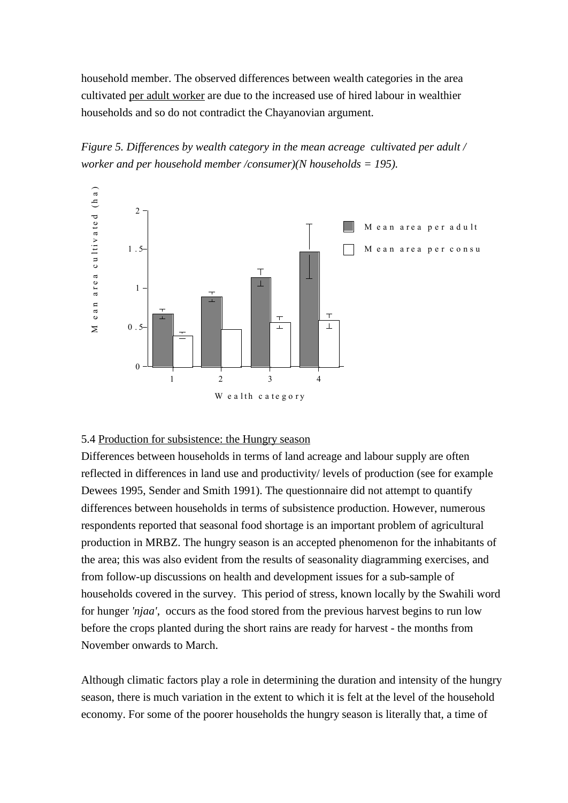household member. The observed differences between wealth categories in the area cultivated per adult worker are due to the increased use of hired labour in wealthier households and so do not contradict the Chayanovian argument.





# 5.4 Production for subsistence: the Hungry season

Differences between households in terms of land acreage and labour supply are often reflected in differences in land use and productivity/ levels of production (see for example Dewees 1995, Sender and Smith 1991). The questionnaire did not attempt to quantify differences between households in terms of subsistence production. However, numerous respondents reported that seasonal food shortage is an important problem of agricultural production in MRBZ. The hungry season is an accepted phenomenon for the inhabitants of the area; this was also evident from the results of seasonality diagramming exercises, and from follow-up discussions on health and development issues for a sub-sample of households covered in the survey. This period of stress, known locally by the Swahili word for hunger *'njaa'*, occurs as the food stored from the previous harvest begins to run low before the crops planted during the short rains are ready for harvest - the months from November onwards to March.

Although climatic factors play a role in determining the duration and intensity of the hungry season, there is much variation in the extent to which it is felt at the level of the household economy. For some of the poorer households the hungry season is literally that, a time of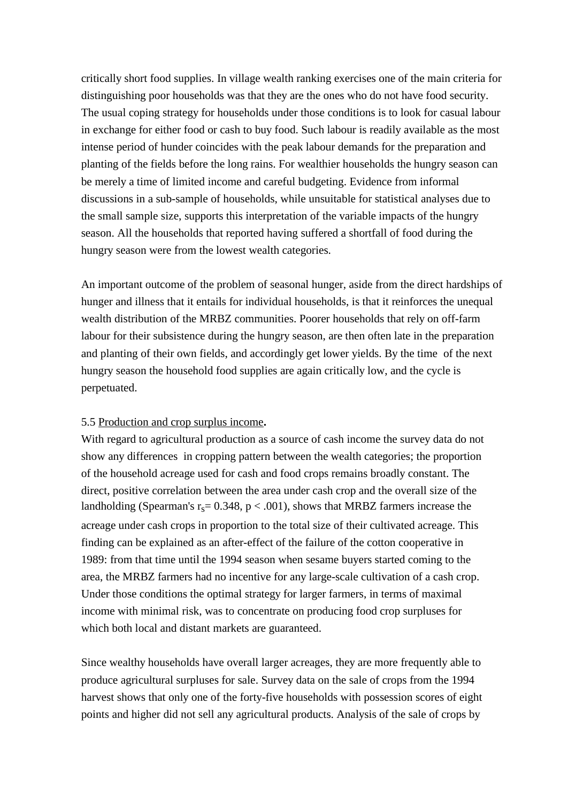critically short food supplies. In village wealth ranking exercises one of the main criteria for distinguishing poor households was that they are the ones who do not have food security. The usual coping strategy for households under those conditions is to look for casual labour in exchange for either food or cash to buy food. Such labour is readily available as the most intense period of hunder coincides with the peak labour demands for the preparation and planting of the fields before the long rains. For wealthier households the hungry season can be merely a time of limited income and careful budgeting. Evidence from informal discussions in a sub-sample of households, while unsuitable for statistical analyses due to the small sample size, supports this interpretation of the variable impacts of the hungry season. All the households that reported having suffered a shortfall of food during the hungry season were from the lowest wealth categories.

An important outcome of the problem of seasonal hunger, aside from the direct hardships of hunger and illness that it entails for individual households, is that it reinforces the unequal wealth distribution of the MRBZ communities. Poorer households that rely on off-farm labour for their subsistence during the hungry season, are then often late in the preparation and planting of their own fields, and accordingly get lower yields. By the time of the next hungry season the household food supplies are again critically low, and the cycle is perpetuated.

# 5.5 Production and crop surplus income**.**

With regard to agricultural production as a source of cash income the survey data do not show any differences in cropping pattern between the wealth categories; the proportion of the household acreage used for cash and food crops remains broadly constant. The direct, positive correlation between the area under cash crop and the overall size of the landholding (Spearman's  $r_s = 0.348$ ,  $p < .001$ ), shows that MRBZ farmers increase the acreage under cash crops in proportion to the total size of their cultivated acreage. This finding can be explained as an after-effect of the failure of the cotton cooperative in 1989: from that time until the 1994 season when sesame buyers started coming to the area, the MRBZ farmers had no incentive for any large-scale cultivation of a cash crop. Under those conditions the optimal strategy for larger farmers, in terms of maximal income with minimal risk, was to concentrate on producing food crop surpluses for which both local and distant markets are guaranteed.

Since wealthy households have overall larger acreages, they are more frequently able to produce agricultural surpluses for sale. Survey data on the sale of crops from the 1994 harvest shows that only one of the forty-five households with possession scores of eight points and higher did not sell any agricultural products. Analysis of the sale of crops by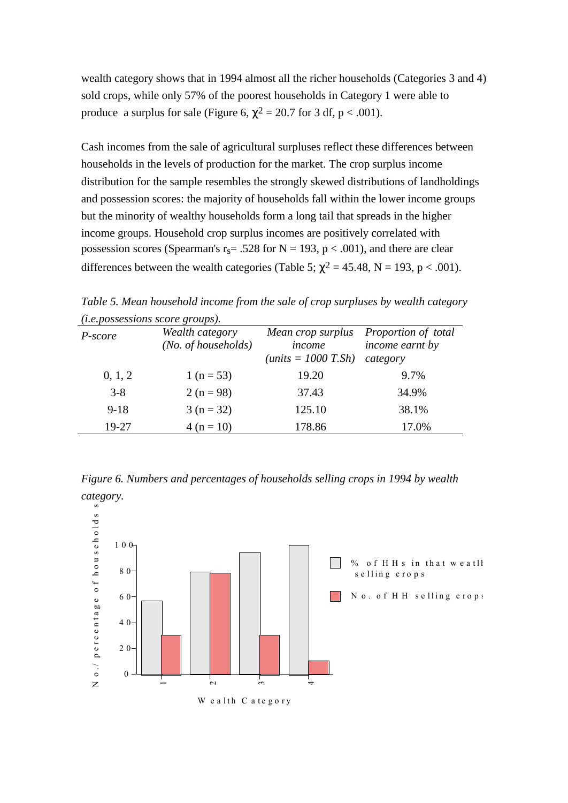wealth category shows that in 1994 almost all the richer households (Categories 3 and 4) sold crops, while only 57% of the poorest households in Category 1 were able to produce a surplus for sale (Figure 6,  $\chi^2 = 20.7$  for 3 df, p < .001).

Cash incomes from the sale of agricultural surpluses reflect these differences between households in the levels of production for the market. The crop surplus income distribution for the sample resembles the strongly skewed distributions of landholdings and possession scores: the majority of households fall within the lower income groups but the minority of wealthy households form a long tail that spreads in the higher income groups. Household crop surplus incomes are positively correlated with possession scores (Spearman's  $r_s$  = .528 for N = 193, p < .001), and there are clear differences between the wealth categories (Table 5;  $\chi^2 = 45.48$ , N = 193, p < .001).

*Table 5. Mean household income from the sale of crop surpluses by wealth category (i.e.possessions score groups).*

| $\mu$ , $\mu$ , $\mu$ , $\mu$ , $\mu$ , $\mu$ , $\mu$ , $\mu$ , $\mu$ , $\mu$ , $\mu$ , $\mu$ , $\mu$ , $\mu$ , $\mu$ , $\mu$ , $\mu$ , $\mu$ , $\mu$ , $\mu$ , $\mu$ , $\mu$ , $\mu$ , $\mu$ , $\mu$ , $\mu$ , $\mu$ , $\mu$ , $\mu$ , $\mu$ , $\mu$ , $\mu$ , $\mu$ , $\mu$ , $\mu$ , $\mu$ , $\mu$ , |                                        |                                                              |                                                    |  |  |
|---------------------------------------------------------------------------------------------------------------------------------------------------------------------------------------------------------------------------------------------------------------------------------------------------------|----------------------------------------|--------------------------------------------------------------|----------------------------------------------------|--|--|
| P-score                                                                                                                                                                                                                                                                                                 | Wealth category<br>(No. of households) | Mean crop surplus<br>income<br>( <i>units</i> = $1000$ T.Sh) | Proportion of total<br>income earnt by<br>category |  |  |
| 0, 1, 2                                                                                                                                                                                                                                                                                                 | 1 ( $n = 53$ )                         | 19.20                                                        | 9.7%                                               |  |  |
| $3 - 8$                                                                                                                                                                                                                                                                                                 | $2(n=98)$                              | 37.43                                                        | 34.9%                                              |  |  |
| $9 - 18$                                                                                                                                                                                                                                                                                                | $3(n=32)$                              | 125.10                                                       | 38.1%                                              |  |  |
| 19-27                                                                                                                                                                                                                                                                                                   | $4(n = 10)$                            | 178.86                                                       | 17.0%                                              |  |  |

*Figure 6. Numbers and percentages of households selling crops in 1994 by wealth*

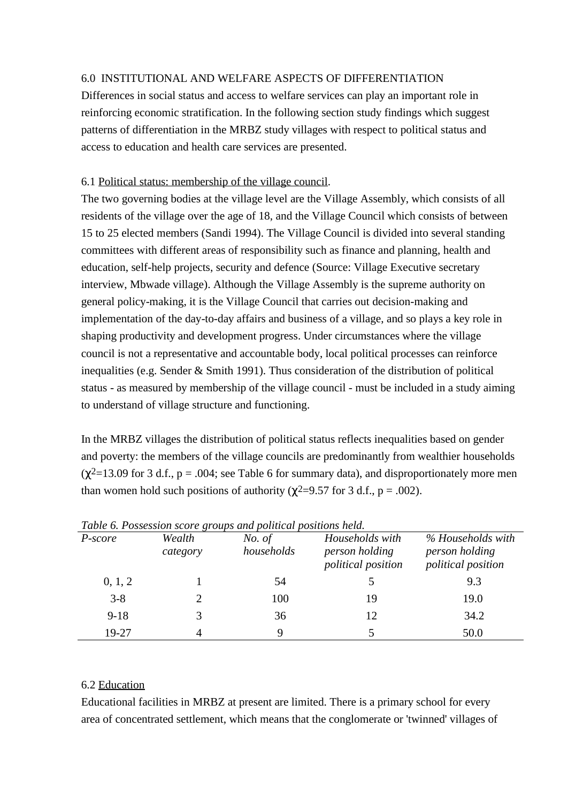# 6.0 INSTITUTIONAL AND WELFARE ASPECTS OF DIFFERENTIATION

Differences in social status and access to welfare services can play an important role in reinforcing economic stratification. In the following section study findings which suggest patterns of differentiation in the MRBZ study villages with respect to political status and access to education and health care services are presented.

# 6.1 Political status: membership of the village council.

The two governing bodies at the village level are the Village Assembly, which consists of all residents of the village over the age of 18, and the Village Council which consists of between 15 to 25 elected members (Sandi 1994). The Village Council is divided into several standing committees with different areas of responsibility such as finance and planning, health and education, self-help projects, security and defence (Source: Village Executive secretary interview, Mbwade village). Although the Village Assembly is the supreme authority on general policy-making, it is the Village Council that carries out decision-making and implementation of the day-to-day affairs and business of a village, and so plays a key role in shaping productivity and development progress. Under circumstances where the village council is not a representative and accountable body, local political processes can reinforce inequalities (e.g. Sender & Smith 1991). Thus consideration of the distribution of political status - as measured by membership of the village council - must be included in a study aiming to understand of village structure and functioning.

In the MRBZ villages the distribution of political status reflects inequalities based on gender and poverty: the members of the village councils are predominantly from wealthier households  $(\gamma^2=13.09$  for 3 d.f., p = .004; see Table 6 for summary data), and disproportionately more men than women hold such positions of authority ( $\chi^2$ =9.57 for 3 d.f., p = .002).

| Tuble 0. I Ossession score groups and political positions held. |          |            |                                             |                                      |  |
|-----------------------------------------------------------------|----------|------------|---------------------------------------------|--------------------------------------|--|
| P-score                                                         | Wealth   | No. of     | Households with                             | % Households with                    |  |
|                                                                 | category | households | person holding<br><i>political position</i> | person holding<br>political position |  |
| 0, 1, 2                                                         |          | 54         |                                             | 9.3                                  |  |
| $3 - 8$                                                         |          | 100        | 19                                          | 19.0                                 |  |
| $9-18$                                                          | 3        | 36         | 12                                          | 34.2                                 |  |
| 19-27                                                           |          | Q          |                                             | 50.0                                 |  |

*Table 6. Possession score groups and political positions held.*

# 6.2 Education

Educational facilities in MRBZ at present are limited. There is a primary school for every area of concentrated settlement, which means that the conglomerate or 'twinned' villages of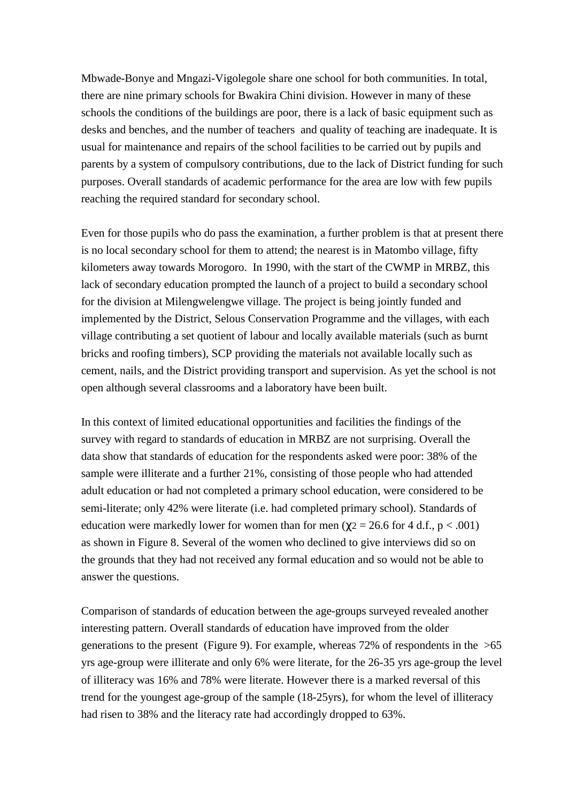Mbwade-Bonye and Mngazi-Vigolegole share one school for both communities. In total, there are nine primary schools for Bwakira Chini division. However in many of these schools the conditions of the buildings are poor, there is a lack of basic equipment such as desks and benches, and the number of teachers and quality of teaching are inadequate. It is usual for maintenance and repairs of the school facilities to be carried out by pupils and parents by a system of compulsory contributions, due to the lack of District funding for such purposes. Overall standards of academic performance for the area are low with few pupils reaching the required standard for secondary school.

Even for those pupils who do pass the examination, a further problem is that at present there is no local secondary school for them to attend; the nearest is in Matombo village, fifty kilometers away towards Morogoro. In 1990, with the start of the CWMP in MRBZ, this lack of secondary education prompted the launch of a project to build a secondary school for the division at Milengwelengwe village. The project is being jointly funded and implemented by the District, Selous Conservation Programme and the villages, with each village contributing a set quotient of labour and locally available materials (such as burnt bricks and roofing timbers), SCP providing the materials not available locally such as cement, nails, and the District providing transport and supervision. As yet the school is not open although several classrooms and a laboratory have been built.

In this context of limited educational opportunities and facilities the findings of the survey with regard to standards of education in MRBZ are not surprising. Overall the data show that standards of education for the respondents asked were poor: 38% of the sample were illiterate and a further 21%, consisting of those people who had attended adult education or had not completed a primary school education, were considered to be semi-literate; only 42% were literate (i.e. had completed primary school). Standards of education were markedly lower for women than for men ( $\chi$ 2 = 26.6 for 4 d.f., p < .001) as shown in Figure 8. Several of the women who declined to give interviews did so on the grounds that they had not received any formal education and so would not be able to answer the questions.

Comparison of standards of education between the age-groups surveyed revealed another interesting pattern. Overall standards of education have improved from the older generations to the present (Figure 9). For example, whereas  $72\%$  of respondents in the  $>65$ yrs age-group were illiterate and only 6% were literate, for the 26-35 yrs age-group the level of illiteracy was 16% and 78% were literate. However there is a marked reversal of this trend for the youngest age-group of the sample (18-25yrs), for whom the level of illiteracy had risen to 38% and the literacy rate had accordingly dropped to 63%.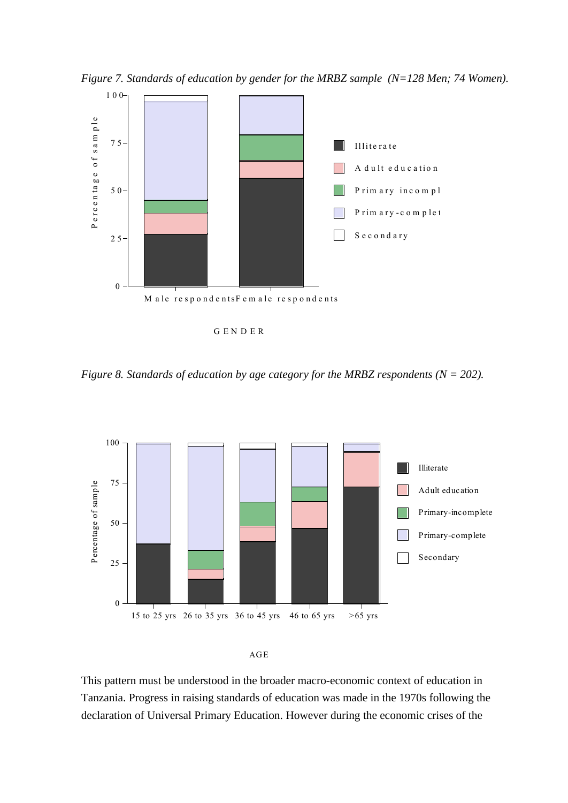*Figure 7. Standards of education by gender for the MRBZ sample (N=128 Men; 74 Women).*



G E N D E R

*Figure 8. Standards of education by age category for the MRBZ respondents (N = 202).*





This pattern must be understood in the broader macro-economic context of education in Tanzania. Progress in raising standards of education was made in the 1970s following the declaration of Universal Primary Education. However during the economic crises of the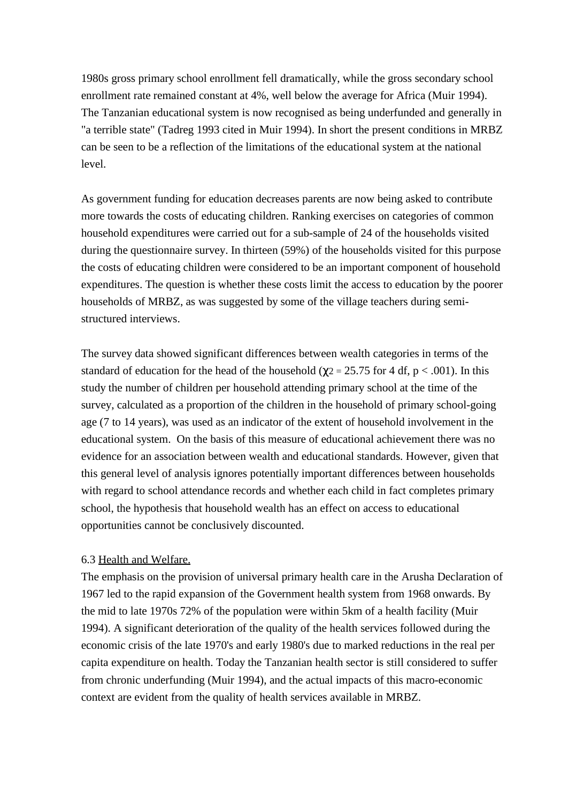1980s gross primary school enrollment fell dramatically, while the gross secondary school enrollment rate remained constant at 4%, well below the average for Africa (Muir 1994). The Tanzanian educational system is now recognised as being underfunded and generally in "a terrible state" (Tadreg 1993 cited in Muir 1994). In short the present conditions in MRBZ can be seen to be a reflection of the limitations of the educational system at the national level.

As government funding for education decreases parents are now being asked to contribute more towards the costs of educating children. Ranking exercises on categories of common household expenditures were carried out for a sub-sample of 24 of the households visited during the questionnaire survey. In thirteen (59%) of the households visited for this purpose the costs of educating children were considered to be an important component of household expenditures. The question is whether these costs limit the access to education by the poorer households of MRBZ, as was suggested by some of the village teachers during semistructured interviews.

The survey data showed significant differences between wealth categories in terms of the standard of education for the head of the household ( $\chi$ 2 = 25.75 for 4 df, p < .001). In this study the number of children per household attending primary school at the time of the survey, calculated as a proportion of the children in the household of primary school-going age (7 to 14 years), was used as an indicator of the extent of household involvement in the educational system. On the basis of this measure of educational achievement there was no evidence for an association between wealth and educational standards. However, given that this general level of analysis ignores potentially important differences between households with regard to school attendance records and whether each child in fact completes primary school, the hypothesis that household wealth has an effect on access to educational opportunities cannot be conclusively discounted.

# 6.3 Health and Welfare.

The emphasis on the provision of universal primary health care in the Arusha Declaration of 1967 led to the rapid expansion of the Government health system from 1968 onwards. By the mid to late 1970s 72% of the population were within 5km of a health facility (Muir 1994). A significant deterioration of the quality of the health services followed during the economic crisis of the late 1970's and early 1980's due to marked reductions in the real per capita expenditure on health. Today the Tanzanian health sector is still considered to suffer from chronic underfunding (Muir 1994), and the actual impacts of this macro-economic context are evident from the quality of health services available in MRBZ.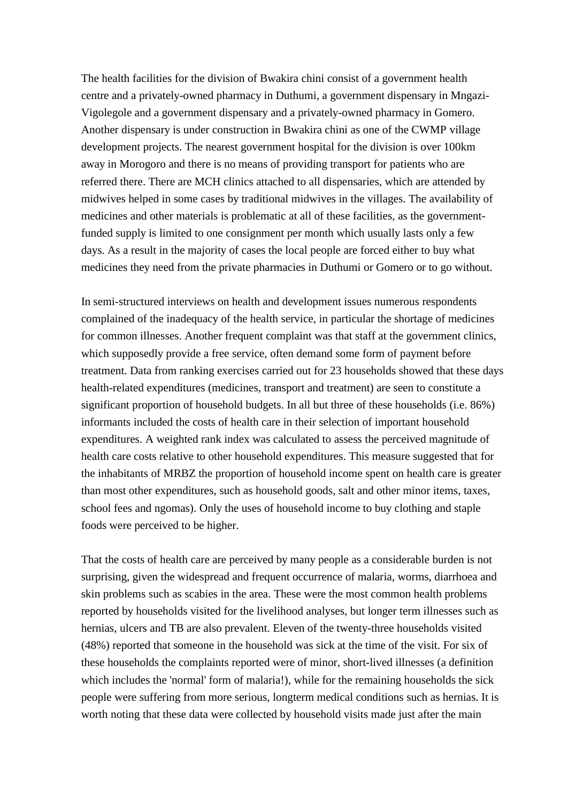The health facilities for the division of Bwakira chini consist of a government health centre and a privately-owned pharmacy in Duthumi, a government dispensary in Mngazi-Vigolegole and a government dispensary and a privately-owned pharmacy in Gomero. Another dispensary is under construction in Bwakira chini as one of the CWMP village development projects. The nearest government hospital for the division is over 100km away in Morogoro and there is no means of providing transport for patients who are referred there. There are MCH clinics attached to all dispensaries, which are attended by midwives helped in some cases by traditional midwives in the villages. The availability of medicines and other materials is problematic at all of these facilities, as the governmentfunded supply is limited to one consignment per month which usually lasts only a few days. As a result in the majority of cases the local people are forced either to buy what medicines they need from the private pharmacies in Duthumi or Gomero or to go without.

In semi-structured interviews on health and development issues numerous respondents complained of the inadequacy of the health service, in particular the shortage of medicines for common illnesses. Another frequent complaint was that staff at the government clinics, which supposedly provide a free service, often demand some form of payment before treatment. Data from ranking exercises carried out for 23 households showed that these days health-related expenditures (medicines, transport and treatment) are seen to constitute a significant proportion of household budgets. In all but three of these households (i.e. 86%) informants included the costs of health care in their selection of important household expenditures. A weighted rank index was calculated to assess the perceived magnitude of health care costs relative to other household expenditures. This measure suggested that for the inhabitants of MRBZ the proportion of household income spent on health care is greater than most other expenditures, such as household goods, salt and other minor items, taxes, school fees and ngomas). Only the uses of household income to buy clothing and staple foods were perceived to be higher.

That the costs of health care are perceived by many people as a considerable burden is not surprising, given the widespread and frequent occurrence of malaria, worms, diarrhoea and skin problems such as scabies in the area. These were the most common health problems reported by households visited for the livelihood analyses, but longer term illnesses such as hernias, ulcers and TB are also prevalent. Eleven of the twenty-three households visited (48%) reported that someone in the household was sick at the time of the visit. For six of these households the complaints reported were of minor, short-lived illnesses (a definition which includes the 'normal' form of malaria!), while for the remaining households the sick people were suffering from more serious, longterm medical conditions such as hernias. It is worth noting that these data were collected by household visits made just after the main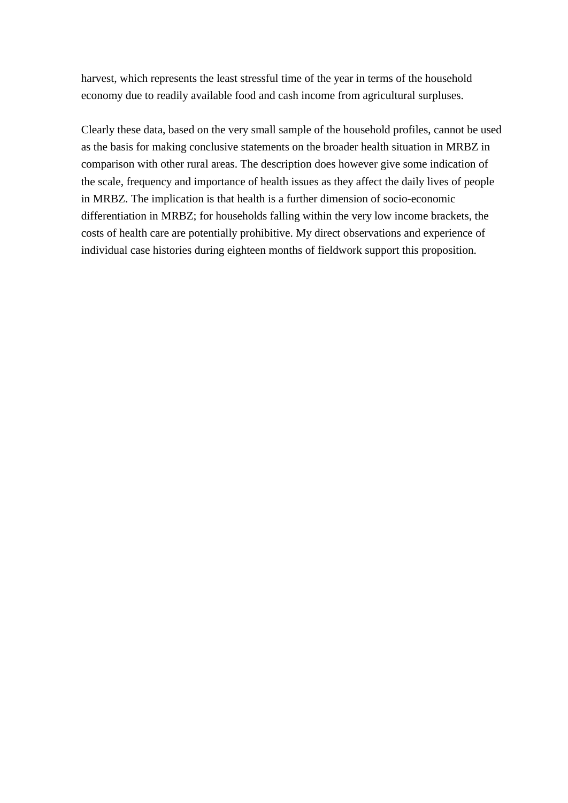harvest, which represents the least stressful time of the year in terms of the household economy due to readily available food and cash income from agricultural surpluses.

Clearly these data, based on the very small sample of the household profiles, cannot be used as the basis for making conclusive statements on the broader health situation in MRBZ in comparison with other rural areas. The description does however give some indication of the scale, frequency and importance of health issues as they affect the daily lives of people in MRBZ. The implication is that health is a further dimension of socio-economic differentiation in MRBZ; for households falling within the very low income brackets, the costs of health care are potentially prohibitive. My direct observations and experience of individual case histories during eighteen months of fieldwork support this proposition.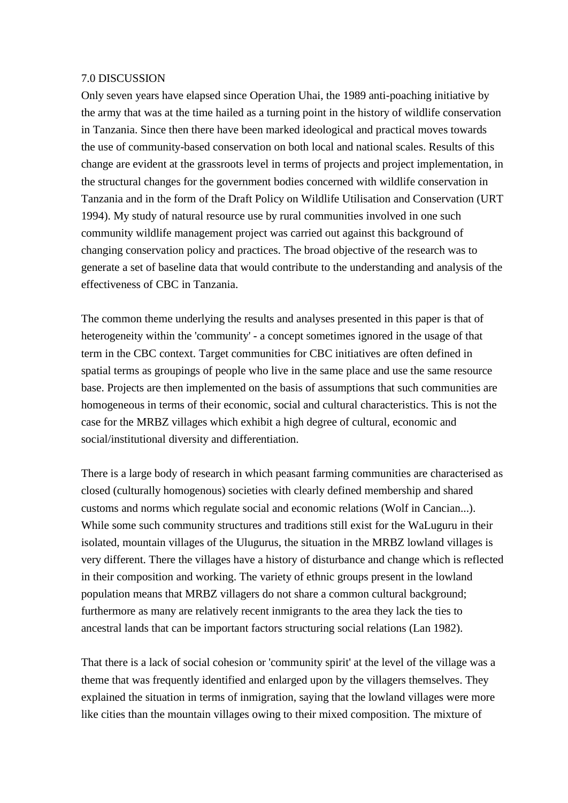#### 7.0 DISCUSSION

Only seven years have elapsed since Operation Uhai, the 1989 anti-poaching initiative by the army that was at the time hailed as a turning point in the history of wildlife conservation in Tanzania. Since then there have been marked ideological and practical moves towards the use of community-based conservation on both local and national scales. Results of this change are evident at the grassroots level in terms of projects and project implementation, in the structural changes for the government bodies concerned with wildlife conservation in Tanzania and in the form of the Draft Policy on Wildlife Utilisation and Conservation (URT 1994). My study of natural resource use by rural communities involved in one such community wildlife management project was carried out against this background of changing conservation policy and practices. The broad objective of the research was to generate a set of baseline data that would contribute to the understanding and analysis of the effectiveness of CBC in Tanzania.

The common theme underlying the results and analyses presented in this paper is that of heterogeneity within the 'community' - a concept sometimes ignored in the usage of that term in the CBC context. Target communities for CBC initiatives are often defined in spatial terms as groupings of people who live in the same place and use the same resource base. Projects are then implemented on the basis of assumptions that such communities are homogeneous in terms of their economic, social and cultural characteristics. This is not the case for the MRBZ villages which exhibit a high degree of cultural, economic and social/institutional diversity and differentiation.

There is a large body of research in which peasant farming communities are characterised as closed (culturally homogenous) societies with clearly defined membership and shared customs and norms which regulate social and economic relations (Wolf in Cancian...). While some such community structures and traditions still exist for the WaLuguru in their isolated, mountain villages of the Ulugurus, the situation in the MRBZ lowland villages is very different. There the villages have a history of disturbance and change which is reflected in their composition and working. The variety of ethnic groups present in the lowland population means that MRBZ villagers do not share a common cultural background; furthermore as many are relatively recent inmigrants to the area they lack the ties to ancestral lands that can be important factors structuring social relations (Lan 1982).

That there is a lack of social cohesion or 'community spirit' at the level of the village was a theme that was frequently identified and enlarged upon by the villagers themselves. They explained the situation in terms of inmigration, saying that the lowland villages were more like cities than the mountain villages owing to their mixed composition. The mixture of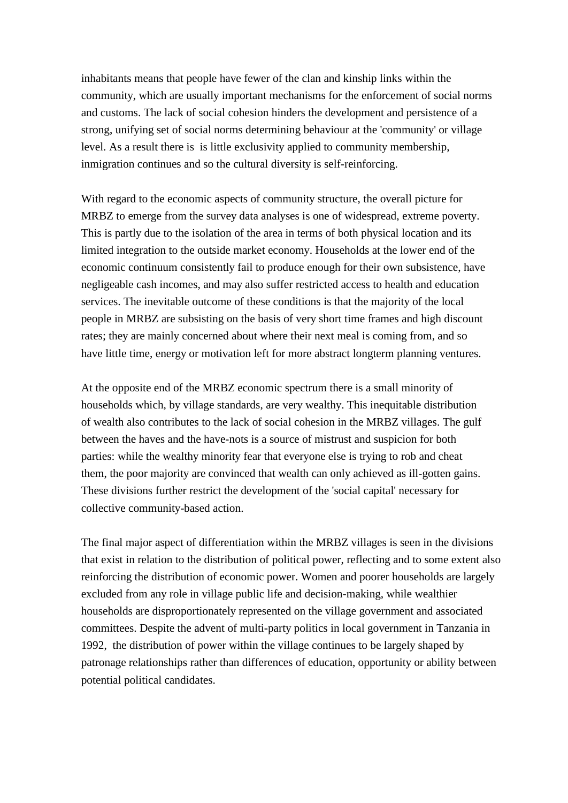inhabitants means that people have fewer of the clan and kinship links within the community, which are usually important mechanisms for the enforcement of social norms and customs. The lack of social cohesion hinders the development and persistence of a strong, unifying set of social norms determining behaviour at the 'community' or village level. As a result there is is little exclusivity applied to community membership, inmigration continues and so the cultural diversity is self-reinforcing.

With regard to the economic aspects of community structure, the overall picture for MRBZ to emerge from the survey data analyses is one of widespread, extreme poverty. This is partly due to the isolation of the area in terms of both physical location and its limited integration to the outside market economy. Households at the lower end of the economic continuum consistently fail to produce enough for their own subsistence, have negligeable cash incomes, and may also suffer restricted access to health and education services. The inevitable outcome of these conditions is that the majority of the local people in MRBZ are subsisting on the basis of very short time frames and high discount rates; they are mainly concerned about where their next meal is coming from, and so have little time, energy or motivation left for more abstract longterm planning ventures.

At the opposite end of the MRBZ economic spectrum there is a small minority of households which, by village standards, are very wealthy. This inequitable distribution of wealth also contributes to the lack of social cohesion in the MRBZ villages. The gulf between the haves and the have-nots is a source of mistrust and suspicion for both parties: while the wealthy minority fear that everyone else is trying to rob and cheat them, the poor majority are convinced that wealth can only achieved as ill-gotten gains. These divisions further restrict the development of the 'social capital' necessary for collective community-based action.

The final major aspect of differentiation within the MRBZ villages is seen in the divisions that exist in relation to the distribution of political power, reflecting and to some extent also reinforcing the distribution of economic power. Women and poorer households are largely excluded from any role in village public life and decision-making, while wealthier households are disproportionately represented on the village government and associated committees. Despite the advent of multi-party politics in local government in Tanzania in 1992, the distribution of power within the village continues to be largely shaped by patronage relationships rather than differences of education, opportunity or ability between potential political candidates.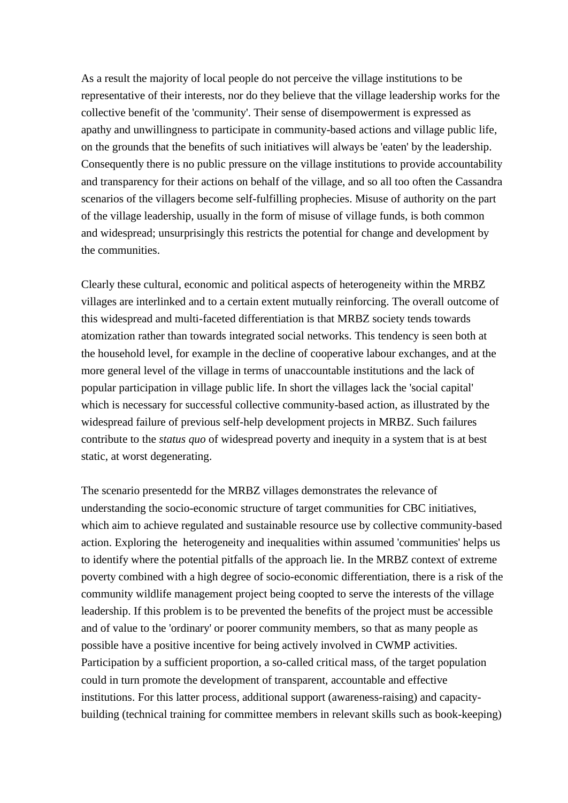As a result the majority of local people do not perceive the village institutions to be representative of their interests, nor do they believe that the village leadership works for the collective benefit of the 'community'. Their sense of disempowerment is expressed as apathy and unwillingness to participate in community-based actions and village public life, on the grounds that the benefits of such initiatives will always be 'eaten' by the leadership. Consequently there is no public pressure on the village institutions to provide accountability and transparency for their actions on behalf of the village, and so all too often the Cassandra scenarios of the villagers become self-fulfilling prophecies. Misuse of authority on the part of the village leadership, usually in the form of misuse of village funds, is both common and widespread; unsurprisingly this restricts the potential for change and development by the communities.

Clearly these cultural, economic and political aspects of heterogeneity within the MRBZ villages are interlinked and to a certain extent mutually reinforcing. The overall outcome of this widespread and multi-faceted differentiation is that MRBZ society tends towards atomization rather than towards integrated social networks. This tendency is seen both at the household level, for example in the decline of cooperative labour exchanges, and at the more general level of the village in terms of unaccountable institutions and the lack of popular participation in village public life. In short the villages lack the 'social capital' which is necessary for successful collective community-based action, as illustrated by the widespread failure of previous self-help development projects in MRBZ. Such failures contribute to the *status quo* of widespread poverty and inequity in a system that is at best static, at worst degenerating.

The scenario presentedd for the MRBZ villages demonstrates the relevance of understanding the socio-economic structure of target communities for CBC initiatives, which aim to achieve regulated and sustainable resource use by collective community-based action. Exploring the heterogeneity and inequalities within assumed 'communities' helps us to identify where the potential pitfalls of the approach lie. In the MRBZ context of extreme poverty combined with a high degree of socio-economic differentiation, there is a risk of the community wildlife management project being coopted to serve the interests of the village leadership. If this problem is to be prevented the benefits of the project must be accessible and of value to the 'ordinary' or poorer community members, so that as many people as possible have a positive incentive for being actively involved in CWMP activities. Participation by a sufficient proportion, a so-called critical mass, of the target population could in turn promote the development of transparent, accountable and effective institutions. For this latter process, additional support (awareness-raising) and capacitybuilding (technical training for committee members in relevant skills such as book-keeping)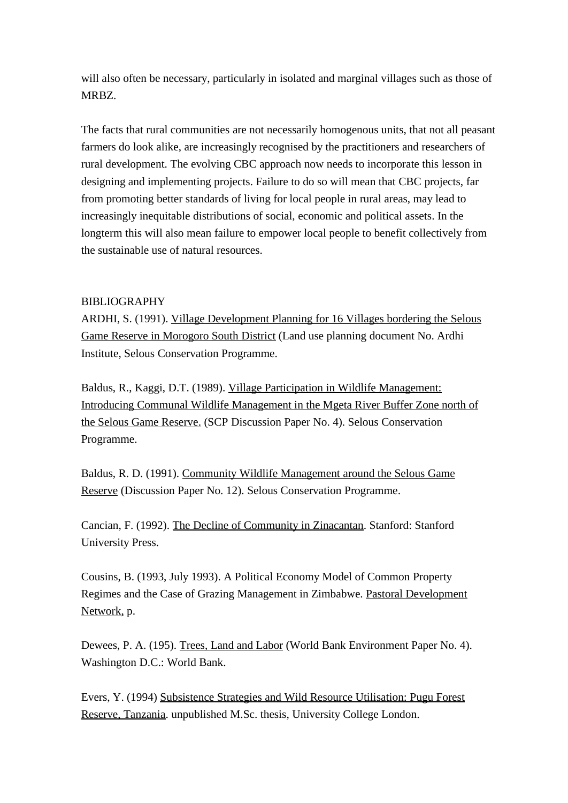will also often be necessary, particularly in isolated and marginal villages such as those of MRBZ.

The facts that rural communities are not necessarily homogenous units, that not all peasant farmers do look alike, are increasingly recognised by the practitioners and researchers of rural development. The evolving CBC approach now needs to incorporate this lesson in designing and implementing projects. Failure to do so will mean that CBC projects, far from promoting better standards of living for local people in rural areas, may lead to increasingly inequitable distributions of social, economic and political assets. In the longterm this will also mean failure to empower local people to benefit collectively from the sustainable use of natural resources.

# BIBLIOGRAPHY

ARDHI, S. (1991). Village Development Planning for 16 Villages bordering the Selous Game Reserve in Morogoro South District (Land use planning document No. Ardhi Institute, Selous Conservation Programme.

Baldus, R., Kaggi, D.T. (1989). Village Participation in Wildlife Management: Introducing Communal Wildlife Management in the Mgeta River Buffer Zone north of the Selous Game Reserve. (SCP Discussion Paper No. 4). Selous Conservation Programme.

Baldus, R. D. (1991). Community Wildlife Management around the Selous Game Reserve (Discussion Paper No. 12). Selous Conservation Programme.

Cancian, F. (1992). The Decline of Community in Zinacantan. Stanford: Stanford University Press.

Cousins, B. (1993, July 1993). A Political Economy Model of Common Property Regimes and the Case of Grazing Management in Zimbabwe. Pastoral Development Network, p.

Dewees, P. A. (195). Trees, Land and Labor (World Bank Environment Paper No. 4). Washington D.C.: World Bank.

Evers, Y. (1994) Subsistence Strategies and Wild Resource Utilisation: Pugu Forest Reserve, Tanzania. unpublished M.Sc. thesis, University College London.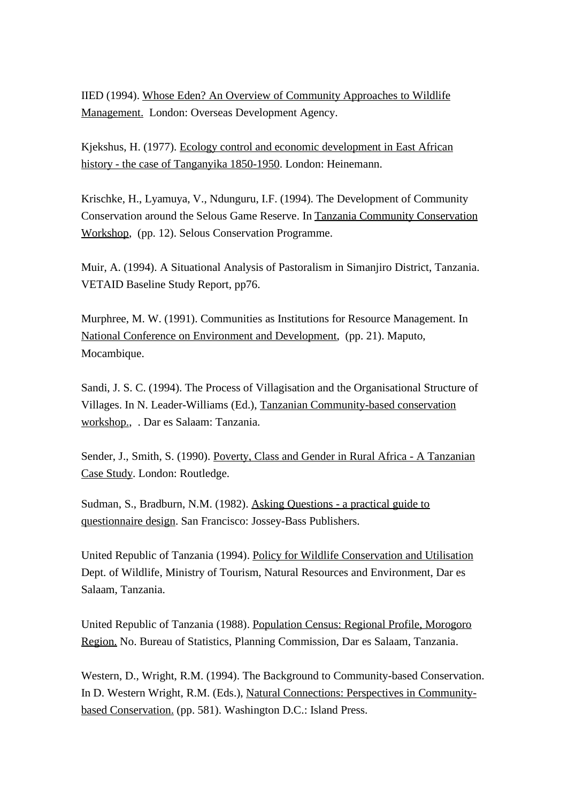IIED (1994). Whose Eden? An Overview of Community Approaches to Wildlife Management. London: Overseas Development Agency.

Kjekshus, H. (1977). Ecology control and economic development in East African history - the case of Tanganyika 1850-1950. London: Heinemann.

Krischke, H., Lyamuya, V., Ndunguru, I.F. (1994). The Development of Community Conservation around the Selous Game Reserve. In Tanzania Community Conservation Workshop, (pp. 12). Selous Conservation Programme.

Muir, A. (1994). A Situational Analysis of Pastoralism in Simanjiro District, Tanzania. VETAID Baseline Study Report, pp76.

Murphree, M. W. (1991). Communities as Institutions for Resource Management. In National Conference on Environment and Development, (pp. 21). Maputo, Mocambique.

Sandi, J. S. C. (1994). The Process of Villagisation and the Organisational Structure of Villages. In N. Leader-Williams (Ed.), Tanzanian Community-based conservation workshop., . Dar es Salaam: Tanzania.

Sender, J., Smith, S. (1990). Poverty, Class and Gender in Rural Africa - A Tanzanian Case Study. London: Routledge.

Sudman, S., Bradburn, N.M. (1982). Asking Questions - a practical guide to questionnaire design. San Francisco: Jossey-Bass Publishers.

United Republic of Tanzania (1994). Policy for Wildlife Conservation and Utilisation Dept. of Wildlife, Ministry of Tourism, Natural Resources and Environment, Dar es Salaam, Tanzania.

United Republic of Tanzania (1988). Population Census: Regional Profile, Morogoro Region. No. Bureau of Statistics, Planning Commission, Dar es Salaam, Tanzania.

Western, D., Wright, R.M. (1994). The Background to Community-based Conservation. In D. Western Wright, R.M. (Eds.), Natural Connections: Perspectives in Communitybased Conservation. (pp. 581). Washington D.C.: Island Press.